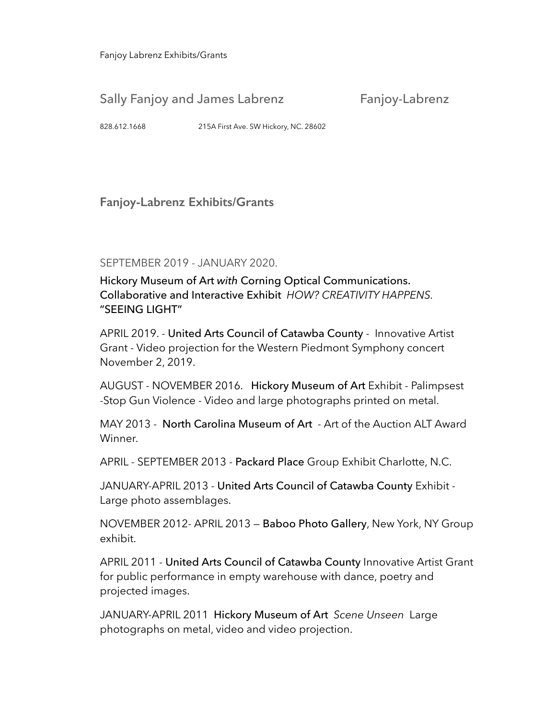Fanjoy Labrenz Exhibits/Grants

## Sally Fanjoy and James Labrenz Fanjoy-Labrenz

828.612.1668 215A First Ave. SW Hickory, NC. 28602

**Fanjoy-Labrenz Exhibits/Grants** 

SEPTEMBER 2019 - JANUARY 2020.

Hickory Museum of Art *with* Corning Optical Communications. Collaborative and Interactive Exhibit *HOW? CREATIVITY HAPPENS.* "SEEING LIGHT"

APRIL 2019. - United Arts Council of Catawba County - Innovative Artist Grant - Video projection for the Western Piedmont Symphony concert November 2, 2019.

AUGUST - NOVEMBER 2016. Hickory Museum of Art Exhibit - Palimpsest -Stop Gun Violence - Video and large photographs printed on metal.

MAY 2013 - North Carolina Museum of Art - Art of the Auction ALT Award Winner.

APRIL - SEPTEMBER 2013 - Packard Place Group Exhibit Charlotte, N.C.

JANUARY-APRIL 2013 - United Arts Council of Catawba County Exhibit -Large photo assemblages.

NOVEMBER 2012- APRIL 2013 — Baboo Photo Gallery, New York, NY Group exhibit.

APRIL 2011 - United Arts Council of Catawba County Innovative Artist Grant for public performance in empty warehouse with dance, poetry and projected images.

JANUARY-APRIL 2011 Hickory Museum of Art *Scene Unseen* Large photographs on metal, video and video projection.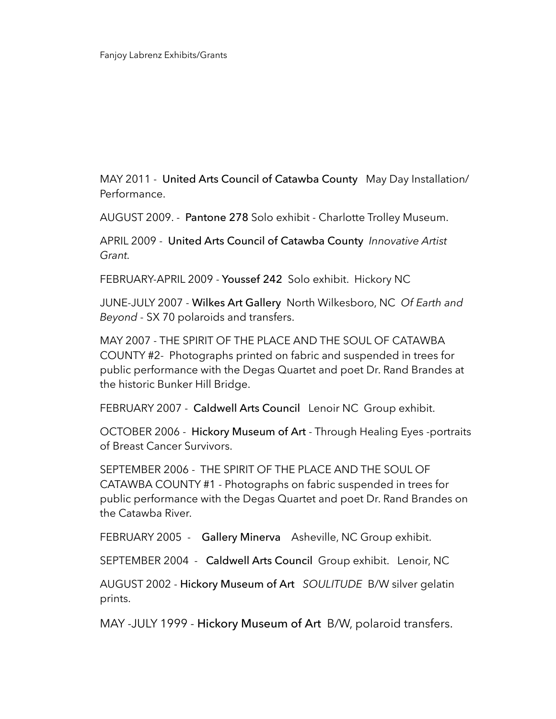MAY 2011 - United Arts Council of Catawba County May Day Installation/ Performance.

AUGUST 2009. - Pantone 278 Solo exhibit - Charlotte Trolley Museum.

APRIL 2009 - United Arts Council of Catawba County *Innovative Artist Grant.*

FEBRUARY-APRIL 2009 - Youssef 242 Solo exhibit. Hickory NC

JUNE-JULY 2007 - Wilkes Art Gallery North Wilkesboro, NC *Of Earth and Beyond -* SX 70 polaroids and transfers.

MAY 2007 - THE SPIRIT OF THE PLACE AND THE SOUL OF CATAWBA COUNTY #2- Photographs printed on fabric and suspended in trees for public performance with the Degas Quartet and poet Dr. Rand Brandes at the historic Bunker Hill Bridge.

FEBRUARY 2007 - Caldwell Arts Council Lenoir NC Group exhibit.

OCTOBER 2006 - Hickory Museum of Art - Through Healing Eyes -portraits of Breast Cancer Survivors.

SEPTEMBER 2006 - THE SPIRIT OF THE PLACE AND THE SOUL OF CATAWBA COUNTY #1 - Photographs on fabric suspended in trees for public performance with the Degas Quartet and poet Dr. Rand Brandes on the Catawba River.

FEBRUARY 2005 - Gallery Minerva Asheville, NC Group exhibit.

SEPTEMBER 2004 - Caldwell Arts Council Group exhibit. Lenoir, NC

AUGUST 2002 - Hickory Museum of Art *SOULITUDE* B/W silver gelatin prints.

MAY -JULY 1999 - Hickory Museum of Art B/W, polaroid transfers.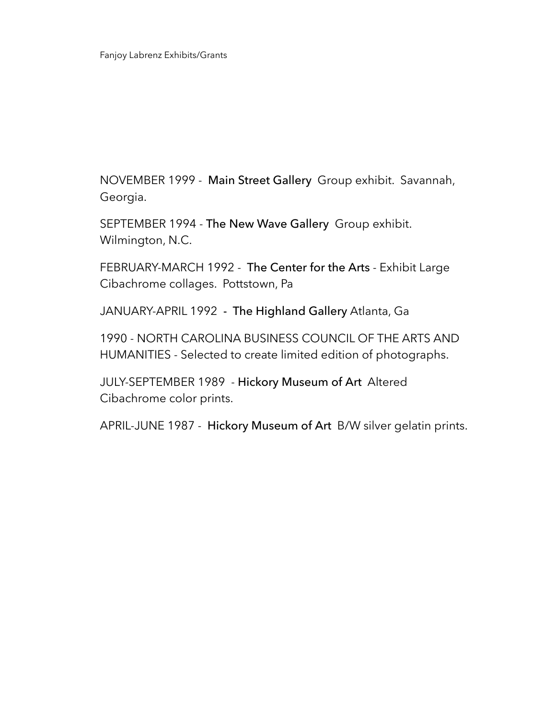NOVEMBER 1999 - Main Street Gallery Group exhibit. Savannah, Georgia.

SEPTEMBER 1994 - The New Wave Gallery Group exhibit. Wilmington, N.C.

FEBRUARY-MARCH 1992 - The Center for the Arts - Exhibit Large Cibachrome collages. Pottstown, Pa

JANUARY-APRIL 1992 - The Highland Gallery Atlanta, Ga

1990 - NORTH CAROLINA BUSINESS COUNCIL OF THE ARTS AND HUMANITIES - Selected to create limited edition of photographs.

JULY-SEPTEMBER 1989 - Hickory Museum of Art Altered Cibachrome color prints.

APRIL-JUNE 1987 - Hickory Museum of Art B/W silver gelatin prints.